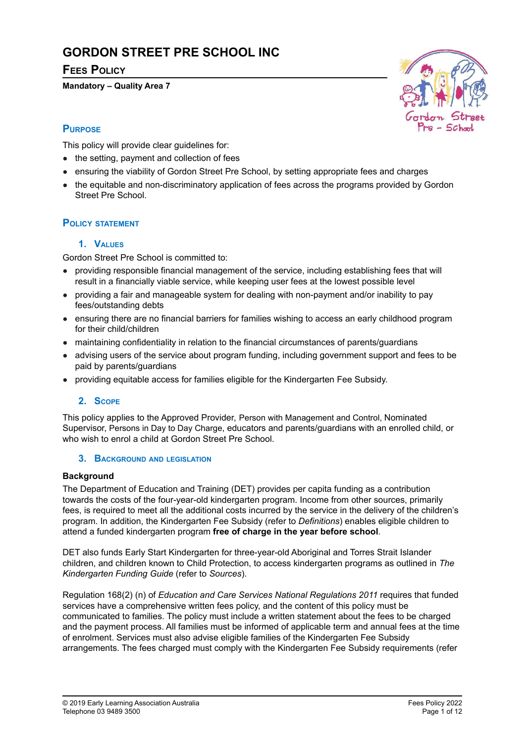# **GORDON STREET PRE SCHOOL INC**

## **FEES POLICY**

#### **Mandatory – Quality Area 7**



## **PURPOSE**

This policy will provide clear guidelines for:

- the setting, payment and collection of fees
- ensuring the viability of Gordon Street Pre School, by setting appropriate fees and charges
- the equitable and non-discriminatory application of fees across the programs provided by Gordon Street Pre School.

### **POLICY STATEMENT**

#### **1. VALUES**

Gordon Street Pre School is committed to:

- providing responsible financial management of the service, including establishing fees that will result in a financially viable service, while keeping user fees at the lowest possible level
- providing a fair and manageable system for dealing with non-payment and/or inability to pay fees/outstanding debts
- ensuring there are no financial barriers for families wishing to access an early childhood program for their child/children
- maintaining confidentiality in relation to the financial circumstances of parents/guardians
- advising users of the service about program funding, including government support and fees to be paid by parents/guardians
- providing equitable access for families eligible for the Kindergarten Fee Subsidy.

### **2. SCOPE**

This policy applies to the Approved Provider, Person with Management and Control, Nominated Supervisor, Persons in Day to Day Charge, educators and parents/guardians with an enrolled child, or who wish to enrol a child at Gordon Street Pre School.

#### **3. BACKGROUND AND LEGISLATION**

#### **Background**

The Department of Education and Training (DET) provides per capita funding as a contribution towards the costs of the four-year-old kindergarten program. Income from other sources, primarily fees, is required to meet all the additional costs incurred by the service in the delivery of the children's program. In addition, the Kindergarten Fee Subsidy (refer to *Definitions*) enables eligible children to attend a funded kindergarten program **free of charge in the year before school**.

DET also funds Early Start Kindergarten for three-year-old Aboriginal and Torres Strait Islander children, and children known to Child Protection, to access kindergarten programs as outlined in *The Kindergarten Funding Guide* (refer to *Sources*).

Regulation 168(2) (n) of *Education and Care Services National Regulations 2011* requires that funded services have a comprehensive written fees policy, and the content of this policy must be communicated to families. The policy must include a written statement about the fees to be charged and the payment process. All families must be informed of applicable term and annual fees at the time of enrolment. Services must also advise eligible families of the Kindergarten Fee Subsidy arrangements. The fees charged must comply with the Kindergarten Fee Subsidy requirements (refer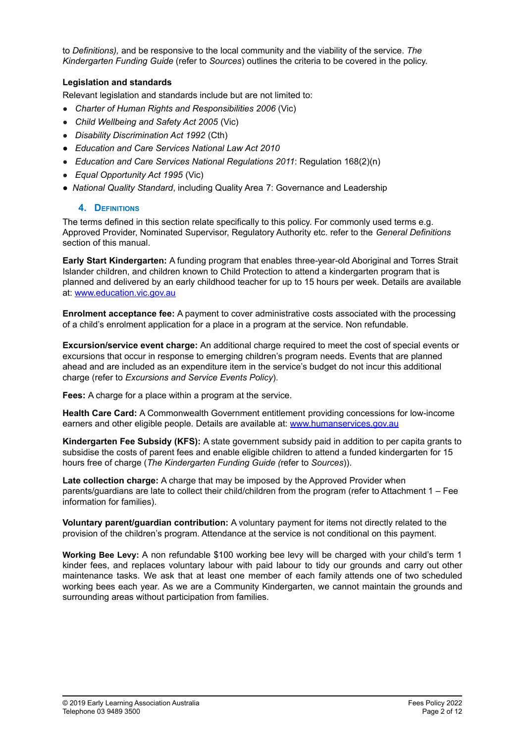to *Definitions),* and be responsive to the local community and the viability of the service. *The Kindergarten Funding Guide* (refer to *Sources*) outlines the criteria to be covered in the policy.

#### **Legislation and standards**

Relevant legislation and standards include but are not limited to:

- *Charter of Human Rights and Responsibilities 2006* (Vic)
- *Child Wellbeing and Safety Act 2005* (Vic)
- *Disability Discrimination Act 1992* (Cth)
- *● Education and Care Services National Law Act 2010*
- *Education and Care Services National Regulations 2011*: Regulation 168(2)(n)
- *Equal Opportunity Act 1995* (Vic)
- *National Quality Standard*, including Quality Area 7: Governance and Leadership

#### **4. DEFINITIONS**

The terms defined in this section relate specifically to this policy. For commonly used terms e.g. Approved Provider, Nominated Supervisor, Regulatory Authority etc. refer to the *General Definitions* section of this manual.

**Early Start Kindergarten:** A funding program that enables three-year-old Aboriginal and Torres Strait Islander children, and children known to Child Protection to attend a kindergarten program that is planned and delivered by an early childhood teacher for up to 15 hours per week. Details are available at: [www.education.vic.gov.au](http://www.education.vic.gov.au)

**Enrolment acceptance fee:** A payment to cover administrative costs associated with the processing of a child's enrolment application for a place in a program at the service. Non refundable.

**Excursion/service event charge:** An additional charge required to meet the cost of special events or excursions that occur in response to emerging children's program needs. Events that are planned ahead and are included as an expenditure item in the service's budget do not incur this additional charge (refer to *Excursions and Service Events Policy*).

**Fees:** A charge for a place within a program at the service.

**Health Care Card:** A Commonwealth Government entitlement providing concessions for low-income earners and other eligible people. Details are available at: [www.humanservices.gov.au](https://www.humanservices.gov.au/)

**Kindergarten Fee Subsidy (KFS):** A state government subsidy paid in addition to per capita grants to subsidise the costs of parent fees and enable eligible children to attend a funded kindergarten for 15 hours free of charge (*The Kindergarten Funding Guide (*refer to *Sources*)).

**Late collection charge:** A charge that may be imposed by the Approved Provider when parents/guardians are late to collect their child/children from the program (refer to Attachment 1 – Fee information for families).

**Voluntary parent/guardian contribution:** A voluntary payment for items not directly related to the provision of the children's program. Attendance at the service is not conditional on this payment.

**Working Bee Levy:** A non refundable \$100 working bee levy will be charged with your child's term 1 kinder fees, and replaces voluntary labour with paid labour to tidy our grounds and carry out other maintenance tasks. We ask that at least one member of each family attends one of two scheduled working bees each year. As we are a Community Kindergarten, we cannot maintain the grounds and surrounding areas without participation from families.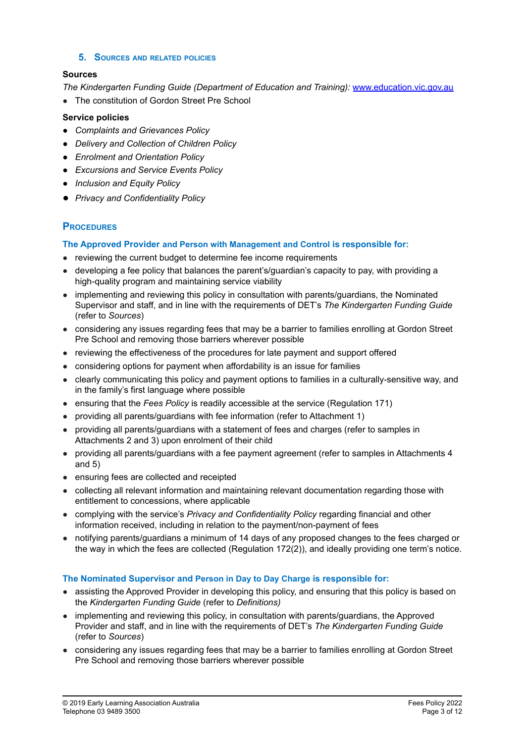#### **5. SOURCES AND RELATED POLICIES**

#### **Sources**

*The Kindergarten Funding Guide (Department of Education and Training):* [www.education.vic.gov.au](http://www.education.vic.gov.au)

● The constitution of Gordon Street Pre School

#### **Service policies**

- *● Complaints and Grievances Policy*
- *● Delivery and Collection of Children Policy*
- *● Enrolment and Orientation Policy*
- *● Excursions and Service Events Policy*
- *● Inclusion and Equity Policy*
- *● Privacy and Confidentiality Policy*

#### **PROCEDURES**

#### **The Approved Provider and Person with Management and Control is responsible for:**

- reviewing the current budget to determine fee income requirements
- developing a fee policy that balances the parent's/guardian's capacity to pay, with providing a high-quality program and maintaining service viability
- implementing and reviewing this policy in consultation with parents/guardians, the Nominated Supervisor and staff, and in line with the requirements of DET's *The Kindergarten Funding Guide* (refer to *Sources*)
- considering any issues regarding fees that may be a barrier to families enrolling at Gordon Street Pre School and removing those barriers wherever possible
- reviewing the effectiveness of the procedures for late payment and support offered
- considering options for payment when affordability is an issue for families
- clearly communicating this policy and payment options to families in a culturally-sensitive way, and in the family's first language where possible
- ensuring that the *Fees Policy* is readily accessible at the service (Regulation 171)
- providing all parents/guardians with fee information (refer to Attachment 1)
- providing all parents/guardians with a statement of fees and charges (refer to samples in Attachments 2 and 3) upon enrolment of their child
- providing all parents/guardians with a fee payment agreement (refer to samples in Attachments 4 and 5)
- ensuring fees are collected and receipted
- collecting all relevant information and maintaining relevant documentation regarding those with entitlement to concessions, where applicable
- complying with the service's *Privacy and Confidentiality Policy* regarding financial and other information received, including in relation to the payment/non-payment of fees
- notifying parents/guardians a minimum of 14 days of any proposed changes to the fees charged or the way in which the fees are collected (Regulation 172(2)), and ideally providing one term's notice.

#### **The Nominated Supervisor and Person in Day to Day Charge is responsible for:**

- assisting the Approved Provider in developing this policy, and ensuring that this policy is based on the *Kindergarten Funding Guide* (refer to *Definitions)*
- implementing and reviewing this policy, in consultation with parents/guardians, the Approved Provider and staff, and in line with the requirements of DET's *The Kindergarten Funding Guide* (refer to *Sources*)
- considering any issues regarding fees that may be a barrier to families enrolling at Gordon Street Pre School and removing those barriers wherever possible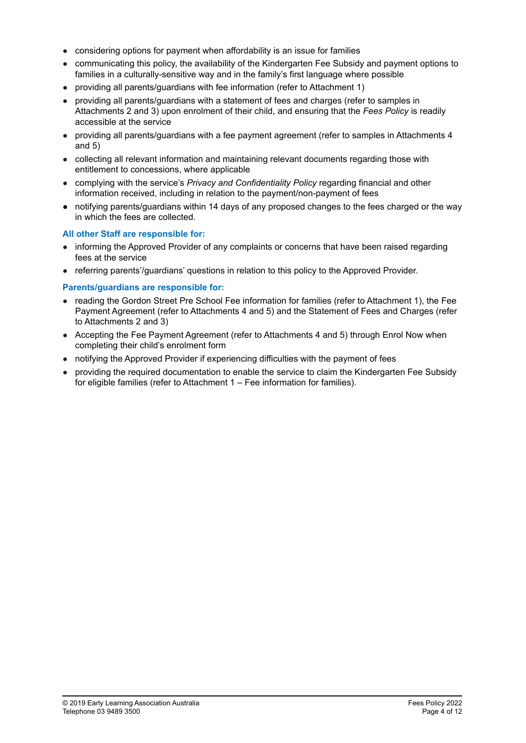- considering options for payment when affordability is an issue for families
- communicating this policy, the availability of the Kindergarten Fee Subsidy and payment options to families in a culturally-sensitive way and in the family's first language where possible
- providing all parents/guardians with fee information (refer to Attachment 1)
- providing all parents/guardians with a statement of fees and charges (refer to samples in Attachments 2 and 3) upon enrolment of their child, and ensuring that the *Fees Policy* is readily accessible at the service
- providing all parents/guardians with a fee payment agreement (refer to samples in Attachments 4 and 5)
- collecting all relevant information and maintaining relevant documents regarding those with entitlement to concessions, where applicable
- complying with the service's *Privacy and Confidentiality Policy* regarding financial and other information received, including in relation to the payment/non-payment of fees
- **●** notifying parents/guardians within 14 days of any proposed changes to the fees charged or the way in which the fees are collected.

#### **All other Staff are responsible for:**

- informing the Approved Provider of any complaints or concerns that have been raised regarding fees at the service
- referring parents'/guardians' questions in relation to this policy to the Approved Provider.

#### **Parents/guardians are responsible for:**

- reading the Gordon Street Pre School Fee information for families (refer to Attachment 1), the Fee Payment Agreement (refer to Attachments 4 and 5) and the Statement of Fees and Charges (refer to Attachments 2 and 3)
- Accepting the Fee Payment Agreement (refer to Attachments 4 and 5) through Enrol Now when completing their child's enrolment form
- notifying the Approved Provider if experiencing difficulties with the payment of fees
- providing the required documentation to enable the service to claim the Kindergarten Fee Subsidy for eligible families (refer to Attachment 1 – Fee information for families).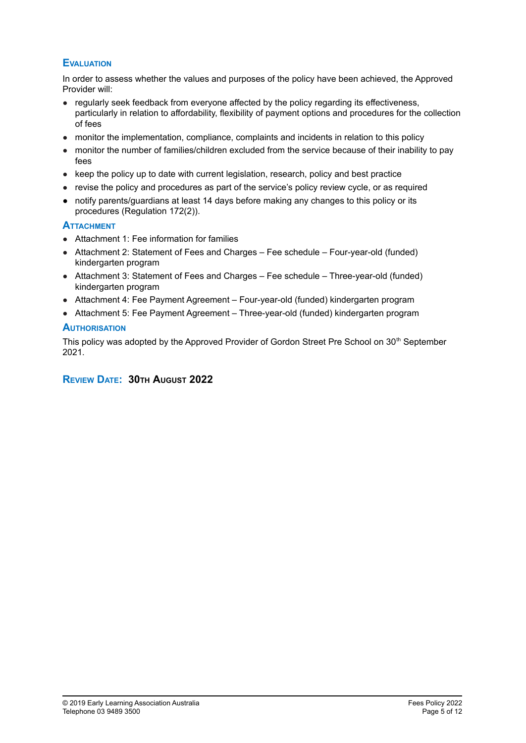### **EVALUATION**

In order to assess whether the values and purposes of the policy have been achieved, the Approved Provider will:

- regularly seek feedback from everyone affected by the policy regarding its effectiveness, particularly in relation to affordability, flexibility of payment options and procedures for the collection of fees
- monitor the implementation, compliance, complaints and incidents in relation to this policy
- monitor the number of families/children excluded from the service because of their inability to pay fees
- keep the policy up to date with current legislation, research, policy and best practice
- revise the policy and procedures as part of the service's policy review cycle, or as required
- **●** notify parents/guardians at least 14 days before making any changes to this policy or its procedures (Regulation 172(2)).

#### **ATTACHMENT**

- Attachment 1: Fee information for families
- Attachment 2: Statement of Fees and Charges Fee schedule Four-year-old (funded) kindergarten program
- Attachment 3: Statement of Fees and Charges Fee schedule Three-year-old (funded) kindergarten program
- Attachment 4: Fee Payment Agreement Four-year-old (funded) kindergarten program
- Attachment 5: Fee Payment Agreement Three-year-old (funded) kindergarten program

#### **AUTHORISATION**

This policy was adopted by the Approved Provider of Gordon Street Pre School on 30<sup>th</sup> September 2021.

### **REVIEW DATE: 30TH AUGUST 2022**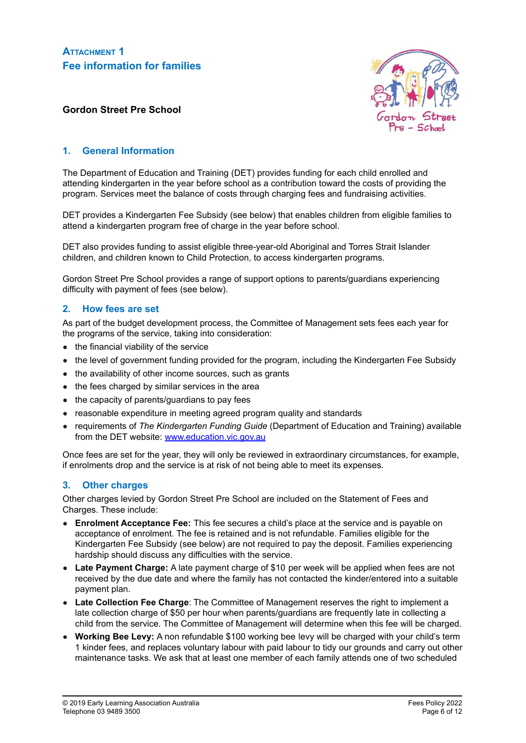**ATTACHMENT 1 Fee information for families**



#### **Gordon Street Pre School**

#### **1. General Information**

The Department of Education and Training (DET) provides funding for each child enrolled and attending kindergarten in the year before school as a contribution toward the costs of providing the program. Services meet the balance of costs through charging fees and fundraising activities.

DET provides a Kindergarten Fee Subsidy (see below) that enables children from eligible families to attend a kindergarten program free of charge in the year before school.

DET also provides funding to assist eligible three-year-old Aboriginal and Torres Strait Islander children, and children known to Child Protection, to access kindergarten programs.

Gordon Street Pre School provides a range of support options to parents/guardians experiencing difficulty with payment of fees (see below).

#### **2. How fees are set**

As part of the budget development process, the Committee of Management sets fees each year for the programs of the service, taking into consideration:

- the financial viability of the service
- the level of government funding provided for the program, including the Kindergarten Fee Subsidy
- the availability of other income sources, such as grants
- the fees charged by similar services in the area
- the capacity of parents/guardians to pay fees
- reasonable expenditure in meeting agreed program quality and standards
- requirements of *The Kindergarten Funding Guide* (Department of Education and Training) available from the DET website: [www.education.vic.gov.au](http://www.education.vic.gov.au)

Once fees are set for the year, they will only be reviewed in extraordinary circumstances, for example, if enrolments drop and the service is at risk of not being able to meet its expenses.

#### **3. Other charges**

Other charges levied by Gordon Street Pre School are included on the Statement of Fees and Charges. These include:

- **Enrolment Acceptance Fee:** This fee secures a child's place at the service and is payable on acceptance of enrolment. The fee is retained and is not refundable. Families eligible for the Kindergarten Fee Subsidy (see below) are not required to pay the deposit. Families experiencing hardship should discuss any difficulties with the service.
- **Late Payment Charge:** A late payment charge of \$10 per week will be applied when fees are not received by the due date and where the family has not contacted the kinder/entered into a suitable payment plan.
- **Late Collection Fee Charge**: The Committee of Management reserves the right to implement a late collection charge of \$50 per hour when parents/guardians are frequently late in collecting a child from the service. The Committee of Management will determine when this fee will be charged.
- **Working Bee Levy:** A non refundable \$100 working bee levy will be charged with your child's term 1 kinder fees, and replaces voluntary labour with paid labour to tidy our grounds and carry out other maintenance tasks. We ask that at least one member of each family attends one of two scheduled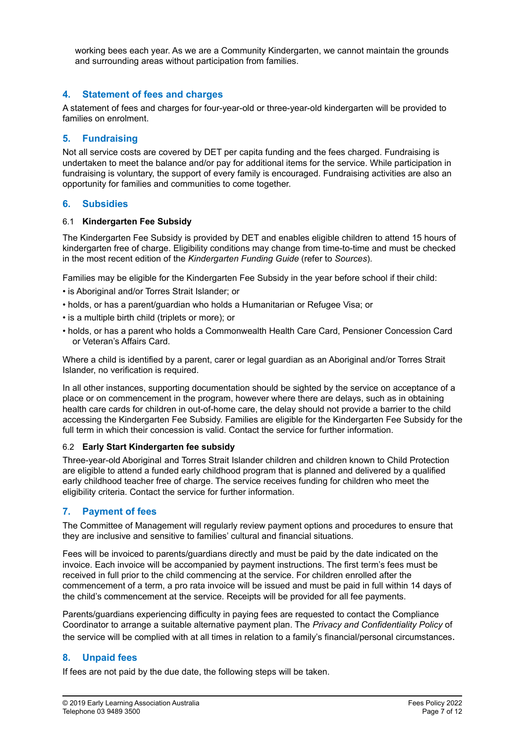working bees each year. As we are a Community Kindergarten, we cannot maintain the grounds and surrounding areas without participation from families.

#### **4. Statement of fees and charges**

A statement of fees and charges for four-year-old or three-year-old kindergarten will be provided to families on enrolment.

#### **5. Fundraising**

Not all service costs are covered by DET per capita funding and the fees charged. Fundraising is undertaken to meet the balance and/or pay for additional items for the service. While participation in fundraising is voluntary, the support of every family is encouraged. Fundraising activities are also an opportunity for families and communities to come together.

#### **6. Subsidies**

#### 6.1 **Kindergarten Fee Subsidy**

The Kindergarten Fee Subsidy is provided by DET and enables eligible children to attend 15 hours of kindergarten free of charge. Eligibility conditions may change from time-to-time and must be checked in the most recent edition of the *Kindergarten Funding Guide* (refer to *Sources*).

Families may be eligible for the Kindergarten Fee Subsidy in the year before school if their child:

- is Aboriginal and/or Torres Strait Islander; or
- holds, or has a parent/guardian who holds a Humanitarian or Refugee Visa; or
- is a multiple birth child (triplets or more); or
- holds, or has a parent who holds a Commonwealth Health Care Card, Pensioner Concession Card or Veteran's Affairs Card.

Where a child is identified by a parent, carer or legal guardian as an Aboriginal and/or Torres Strait Islander, no verification is required.

In all other instances, supporting documentation should be sighted by the service on acceptance of a place or on commencement in the program, however where there are delays, such as in obtaining health care cards for children in out-of-home care, the delay should not provide a barrier to the child accessing the Kindergarten Fee Subsidy. Families are eligible for the Kindergarten Fee Subsidy for the full term in which their concession is valid. Contact the service for further information.

#### 6.2 **Early Start Kindergarten fee subsidy**

Three-year-old Aboriginal and Torres Strait Islander children and children known to Child Protection are eligible to attend a funded early childhood program that is planned and delivered by a qualified early childhood teacher free of charge. The service receives funding for children who meet the eligibility criteria. Contact the service for further information.

### **7. Payment of fees**

The Committee of Management will regularly review payment options and procedures to ensure that they are inclusive and sensitive to families' cultural and financial situations.

Fees will be invoiced to parents/guardians directly and must be paid by the date indicated on the invoice. Each invoice will be accompanied by payment instructions. The first term's fees must be received in full prior to the child commencing at the service. For children enrolled after the commencement of a term, a pro rata invoice will be issued and must be paid in full within 14 days of the child's commencement at the service. Receipts will be provided for all fee payments.

Parents/guardians experiencing difficulty in paying fees are requested to contact the Compliance Coordinator to arrange a suitable alternative payment plan. The *Privacy and Confidentiality Policy* of the service will be complied with at all times in relation to a family's financial/personal circumstances.

#### **8. Unpaid fees**

If fees are not paid by the due date, the following steps will be taken.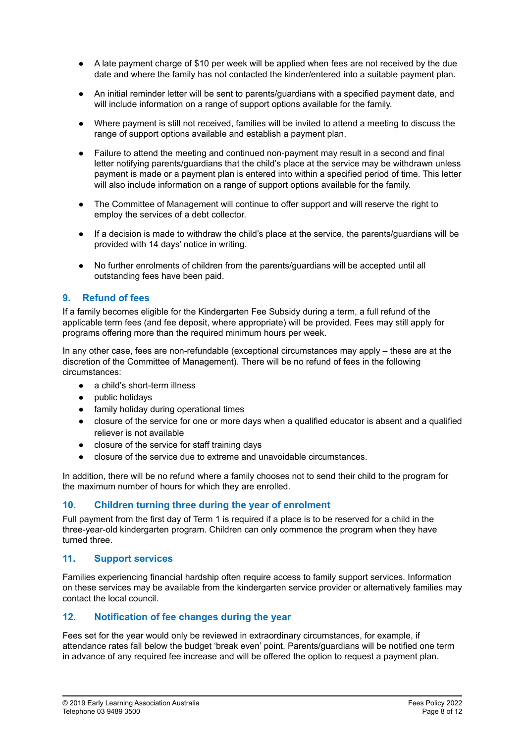- **●** A late payment charge of \$10 per week will be applied when fees are not received by the due date and where the family has not contacted the kinder/entered into a suitable payment plan.
- An initial reminder letter will be sent to parents/guardians with a specified payment date, and will include information on a range of support options available for the family.
- Where payment is still not received, families will be invited to attend a meeting to discuss the range of support options available and establish a payment plan.
- Failure to attend the meeting and continued non-payment may result in a second and final letter notifying parents/guardians that the child's place at the service may be withdrawn unless payment is made or a payment plan is entered into within a specified period of time. This letter will also include information on a range of support options available for the family.
- The Committee of Management will continue to offer support and will reserve the right to employ the services of a debt collector.
- If a decision is made to withdraw the child's place at the service, the parents/guardians will be provided with 14 days' notice in writing.
- No further enrolments of children from the parents/guardians will be accepted until all outstanding fees have been paid.

#### **9. Refund of fees**

If a family becomes eligible for the Kindergarten Fee Subsidy during a term, a full refund of the applicable term fees (and fee deposit, where appropriate) will be provided. Fees may still apply for programs offering more than the required minimum hours per week.

In any other case, fees are non-refundable (exceptional circumstances may apply – these are at the discretion of the Committee of Management). There will be no refund of fees in the following circumstances:

- a child's short-term illness
- public holidays
- family holiday during operational times
- closure of the service for one or more days when a qualified educator is absent and a qualified reliever is not available
- closure of the service for staff training days
- closure of the service due to extreme and unavoidable circumstances.

In addition, there will be no refund where a family chooses not to send their child to the program for the maximum number of hours for which they are enrolled.

#### **10. Children turning three during the year of enrolment**

Full payment from the first day of Term 1 is required if a place is to be reserved for a child in the three-year-old kindergarten program. Children can only commence the program when they have turned three.

#### **11. Support services**

Families experiencing financial hardship often require access to family support services. Information on these services may be available from the kindergarten service provider or alternatively families may contact the local council.

#### **12. Notification of fee changes during the year**

Fees set for the year would only be reviewed in extraordinary circumstances, for example, if attendance rates fall below the budget 'break even' point. Parents/guardians will be notified one term in advance of any required fee increase and will be offered the option to request a payment plan.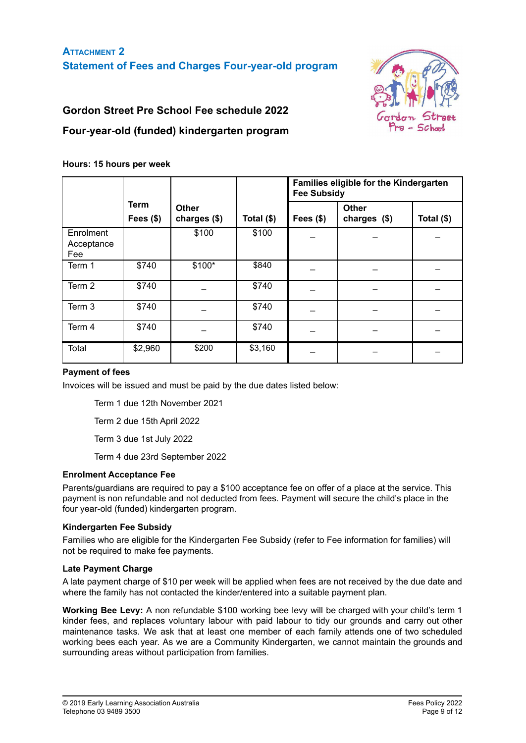

## **Gordon Street Pre School Fee schedule 2022**

## **Four-year-old (funded) kindergarten program**

#### **Hours: 15 hours per week**

|                                |                    |                              |             | Families eligible for the Kindergarten<br><b>Fee Subsidy</b> |                               |            |
|--------------------------------|--------------------|------------------------------|-------------|--------------------------------------------------------------|-------------------------------|------------|
|                                | Term<br>Fees $($)$ | <b>Other</b><br>charges (\$) | Total $($)$ | Fees $($)$                                                   | <b>Other</b><br>charges $($)$ | Total (\$) |
| Enrolment<br>Acceptance<br>Fee |                    | \$100                        | \$100       |                                                              |                               |            |
| Term 1                         | \$740              | $$100*$                      | \$840       |                                                              |                               |            |
| Term 2                         | \$740              |                              | \$740       |                                                              |                               |            |
| Term 3                         | \$740              |                              | \$740       |                                                              |                               |            |
| Term 4                         | \$740              |                              | \$740       |                                                              |                               |            |
| Total                          | \$2,960            | \$200                        | \$3,160     |                                                              |                               |            |

#### **Payment of fees**

Invoices will be issued and must be paid by the due dates listed below:

Term 1 due 12th November 2021

Term 2 due 15th April 2022

Term 3 due 1st July 2022

Term 4 due 23rd September 2022

#### **Enrolment Acceptance Fee**

Parents/guardians are required to pay a \$100 acceptance fee on offer of a place at the service. This payment is non refundable and not deducted from fees. Payment will secure the child's place in the four year-old (funded) kindergarten program.

#### **Kindergarten Fee Subsidy**

Families who are eligible for the Kindergarten Fee Subsidy (refer to Fee information for families) will not be required to make fee payments.

#### **Late Payment Charge**

A late payment charge of \$10 per week will be applied when fees are not received by the due date and where the family has not contacted the kinder/entered into a suitable payment plan.

**Working Bee Levy:** A non refundable \$100 working bee levy will be charged with your child's term 1 kinder fees, and replaces voluntary labour with paid labour to tidy our grounds and carry out other maintenance tasks. We ask that at least one member of each family attends one of two scheduled working bees each year. As we are a Community Kindergarten, we cannot maintain the grounds and surrounding areas without participation from families.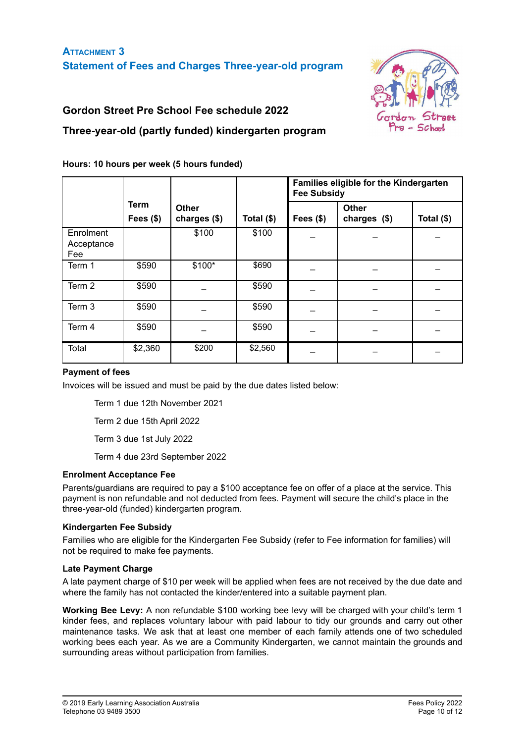

## **Gordon Street Pre School Fee schedule 2022**

## **Three-year-old (partly funded) kindergarten program**

|                                |                      |                              |              | Families eligible for the Kindergarten<br><b>Fee Subsidy</b> |                               |            |  |
|--------------------------------|----------------------|------------------------------|--------------|--------------------------------------------------------------|-------------------------------|------------|--|
|                                | Term<br>Fees $($ \$) | <b>Other</b><br>charges (\$) | Total $(\$)$ | Fees $($)$                                                   | <b>Other</b><br>charges $($)$ | Total (\$) |  |
| Enrolment<br>Acceptance<br>Fee |                      | \$100                        | \$100        |                                                              |                               |            |  |
| Term 1                         | \$590                | $$100*$                      | \$690        |                                                              |                               |            |  |
| Term 2                         | \$590                |                              | \$590        |                                                              |                               |            |  |
| Term 3                         | \$590                |                              | \$590        |                                                              |                               |            |  |
| Term 4                         | \$590                |                              | \$590        |                                                              |                               |            |  |
| Total                          | \$2,360              | \$200                        | \$2,560      |                                                              |                               |            |  |

#### **Hours: 10 hours per week (5 hours funded)**

#### **Payment of fees**

Invoices will be issued and must be paid by the due dates listed below:

Term 1 due 12th November 2021

Term 2 due 15th April 2022

Term 3 due 1st July 2022

Term 4 due 23rd September 2022

#### **Enrolment Acceptance Fee**

Parents/guardians are required to pay a \$100 acceptance fee on offer of a place at the service. This payment is non refundable and not deducted from fees. Payment will secure the child's place in the three-year-old (funded) kindergarten program.

#### **Kindergarten Fee Subsidy**

Families who are eligible for the Kindergarten Fee Subsidy (refer to Fee information for families) will not be required to make fee payments.

#### **Late Payment Charge**

A late payment charge of \$10 per week will be applied when fees are not received by the due date and where the family has not contacted the kinder/entered into a suitable payment plan.

**Working Bee Levy:** A non refundable \$100 working bee levy will be charged with your child's term 1 kinder fees, and replaces voluntary labour with paid labour to tidy our grounds and carry out other maintenance tasks. We ask that at least one member of each family attends one of two scheduled working bees each year. As we are a Community Kindergarten, we cannot maintain the grounds and surrounding areas without participation from families.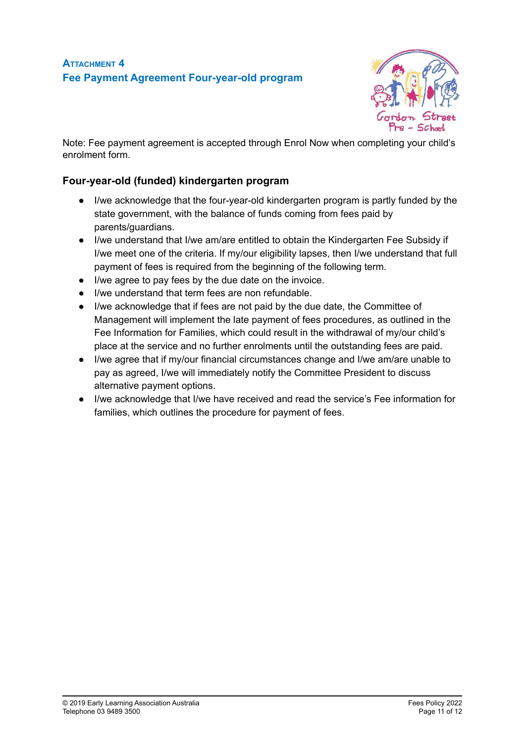

Note: Fee payment agreement is accepted through Enrol Now when completing your child's enrolment form.

## **Four-year-old (funded) kindergarten program**

- I/we acknowledge that the four-year-old kindergarten program is partly funded by the state government, with the balance of funds coming from fees paid by parents/guardians.
- I/we understand that I/we am/are entitled to obtain the Kindergarten Fee Subsidy if I/we meet one of the criteria. If my/our eligibility lapses, then I/we understand that full payment of fees is required from the beginning of the following term.
- I/we agree to pay fees by the due date on the invoice.
- I/we understand that term fees are non refundable.
- I/we acknowledge that if fees are not paid by the due date, the Committee of Management will implement the late payment of fees procedures, as outlined in the Fee Information for Families, which could result in the withdrawal of my/our child's place at the service and no further enrolments until the outstanding fees are paid.
- I/we agree that if my/our financial circumstances change and I/we am/are unable to pay as agreed, I/we will immediately notify the Committee President to discuss alternative payment options.
- I/we acknowledge that I/we have received and read the service's Fee information for families, which outlines the procedure for payment of fees.